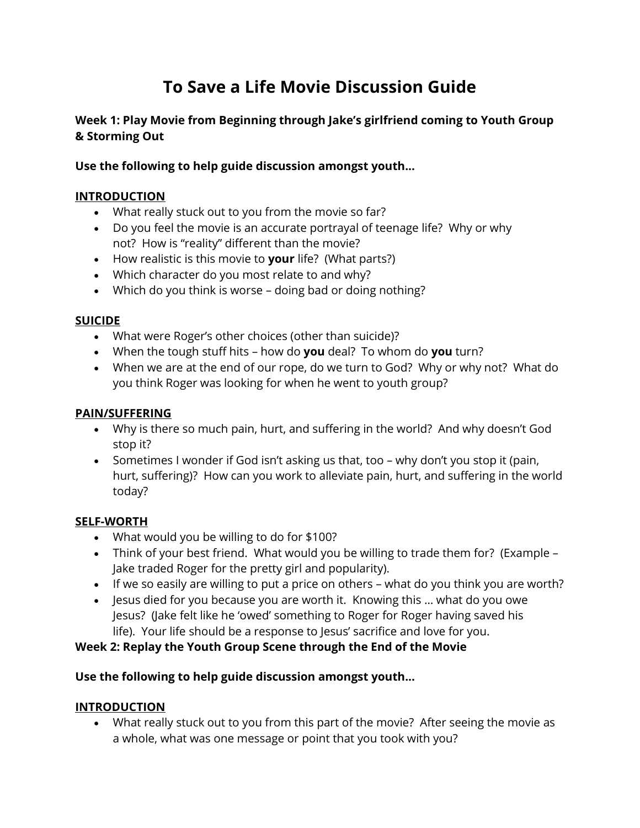# **To Save a Life Movie Discussion Guide**

# **Week 1: Play Movie from Beginning through Jake's girlfriend coming to Youth Group & Storming Out**

## **Use the following to help guide discussion amongst youth...**

## **INTRODUCTION**

- What really stuck out to you from the movie so far?
- Do you feel the movie is an accurate portrayal of teenage life? Why or why not? How is "reality" different than the movie?
- How realistic is this movie to **your** life? (What parts?)
- Which character do you most relate to and why?
- Which do you think is worse doing bad or doing nothing?

#### **SUICIDE**

- What were Roger's other choices (other than suicide)?
- When the tough stuff hits how do **you** deal? To whom do **you** turn?
- When we are at the end of our rope, do we turn to God? Why or why not? What do you think Roger was looking for when he went to youth group?

#### **PAIN/SUFFERING**

- Why is there so much pain, hurt, and suffering in the world? And why doesn't God stop it?
- Sometimes I wonder if God isn't asking us that, too why don't you stop it (pain, hurt, suffering)? How can you work to alleviate pain, hurt, and suffering in the world today?

### **SELF-WORTH**

- What would you be willing to do for \$100?
- Think of your best friend. What would you be willing to trade them for? (Example Jake traded Roger for the pretty girl and popularity).
- If we so easily are willing to put a price on others what do you think you are worth?
- Jesus died for you because you are worth it. Knowing this … what do you owe Jesus? (Jake felt like he 'owed' something to Roger for Roger having saved his life). Your life should be a response to Jesus' sacrifice and love for you.

### **Week 2: Replay the Youth Group Scene through the End of the Movie**

### **Use the following to help guide discussion amongst youth...**

### **INTRODUCTION**

• What really stuck out to you from this part of the movie? After seeing the movie as a whole, what was one message or point that you took with you?